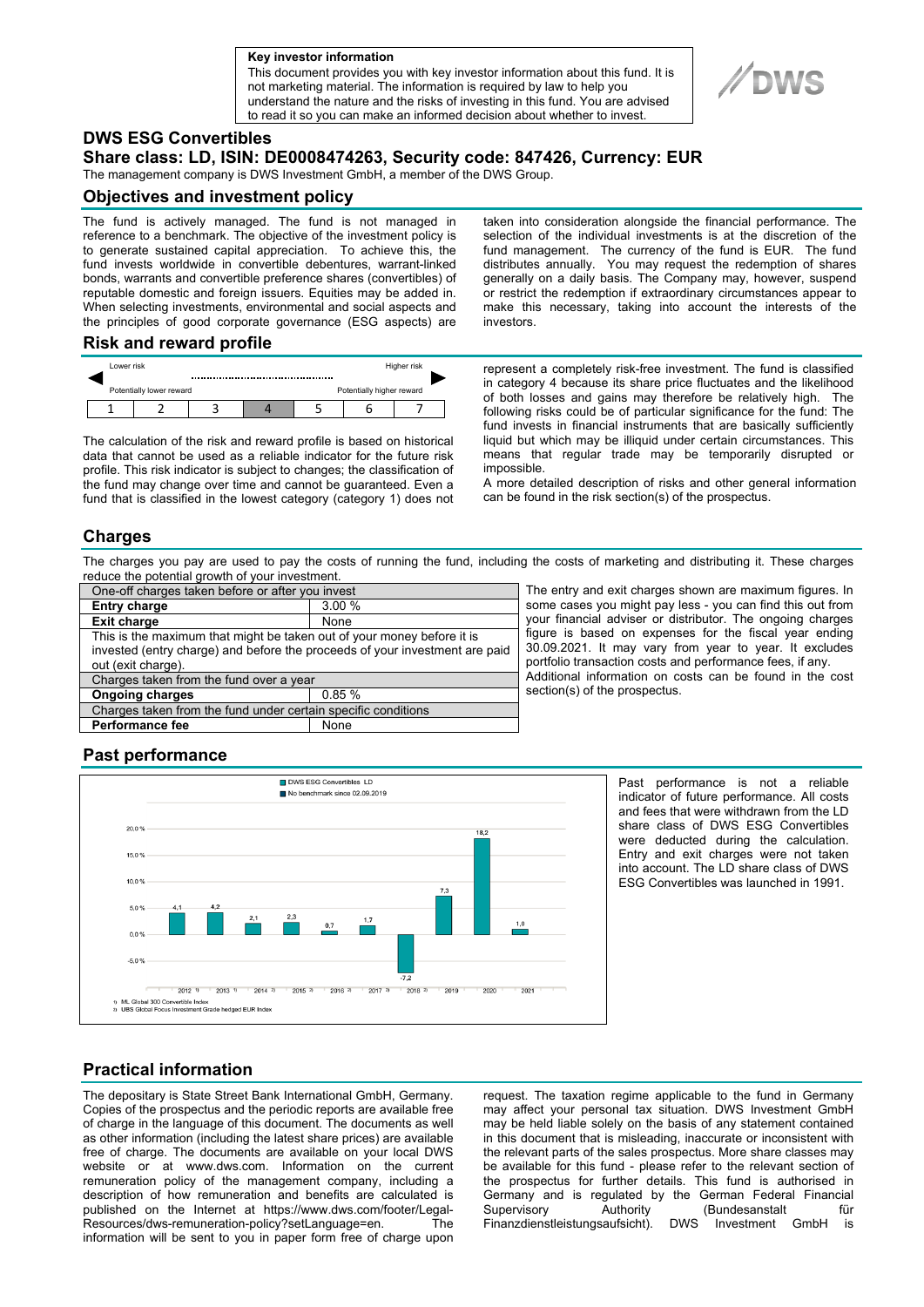**a Key investor information**

This document provides you with key investor information about this fund. It is not marketing material. The information is required by law to help you understand the nature and the risks of investing in this fund. You are advised to read it so you can make an informed decision about whether to invest.

# **DWS ESG Convertibles**

### **Share class: LD, ISIN: DE0008474263, Security code: 847426, Currency: EUR**

The management company is DWS Investment GmbH, a member of the DWS Group.

### **Objectives and investment policy**

The fund is actively managed. The fund is not managed in reference to a benchmark. The objective of the investment policy is to generate sustained capital appreciation. To achieve this, the fund invests worldwide in convertible debentures, warrant-linked bonds, warrants and convertible preference shares (convertibles) of reputable domestic and foreign issuers. Equities may be added in. When selecting investments, environmental and social aspects and the principles of good corporate governance (ESG aspects) are

taken into consideration alongside the financial performance. The selection of the individual investments is at the discretion of the fund management. The currency of the fund is EUR. The fund distributes annually. You may request the redemption of shares generally on a daily basis. The Company may, however, suspend or restrict the redemption if extraordinary circumstances appear to make this necessary, taking into account the interests of the investors.

#### **Risk and reward profile**



The calculation of the risk and reward profile is based on historical data that cannot be used as a reliable indicator for the future risk profile. This risk indicator is subject to changes; the classification of the fund may change over time and cannot be guaranteed. Even a fund that is classified in the lowest category (category 1) does not represent a completely risk-free investment. The fund is classified in category 4 because its share price fluctuates and the likelihood of both losses and gains may therefore be relatively high. The following risks could be of particular significance for the fund: The fund invests in financial instruments that are basically sufficiently liquid but which may be illiquid under certain circumstances. This means that regular trade may be temporarily disrupted or impossible.

A more detailed description of risks and other general information can be found in the risk section(s) of the prospectus.

### **Charges**

The charges you pay are used to pay the costs of running the fund, including the costs of marketing and distributing it. These charges reduce the potential growth of your investment.

| One-off charges taken before or after you invest                            |       |
|-----------------------------------------------------------------------------|-------|
| <b>Entry charge</b>                                                         | 3.00% |
| <b>Exit charge</b>                                                          | None  |
| This is the maximum that might be taken out of your money before it is      |       |
| invested (entry charge) and before the proceeds of your investment are paid |       |
| out (exit charge).                                                          |       |
| Charges taken from the fund over a year                                     |       |
| <b>Ongoing charges</b>                                                      | 0.85% |
| Charges taken from the fund under certain specific conditions               |       |
| <b>Performance fee</b>                                                      | None  |
|                                                                             |       |

The entry and exit charges shown are maximum figures. In some cases you might pay less - you can find this out from your financial adviser or distributor. The ongoing charges figure is based on expenses for the fiscal year ending 30.09.2021. It may vary from year to year. It excludes portfolio transaction costs and performance fees, if any. Additional information on costs can be found in the cost section(s) of the prospectus.

# **Past performance**



Past performance is not a reliable indicator of future performance. All costs and fees that were withdrawn from the LD share class of DWS ESG Convertibles were deducted during the calculation. Entry and exit charges were not taken into account. The LD share class of DWS ESG Convertibles was launched in 1991.

# **Practical information**

The depositary is State Street Bank International GmbH, Germany. Copies of the prospectus and the periodic reports are available free of charge in the language of this document. The documents as well as other information (including the latest share prices) are available free of charge. The documents are available on your local DWS website or at www.dws.com. Information on the current remuneration policy of the management company, including a description of how remuneration and benefits are calculated is published on the Internet at https://www.dws.com/footer/Legal-Resources/dws-remuneration-policy?setLanguage=en. The information will be sent to you in paper form free of charge upon

request. The taxation regime applicable to the fund in Germany may affect your personal tax situation. DWS Investment GmbH may be held liable solely on the basis of any statement contained in this document that is misleading, inaccurate or inconsistent with the relevant parts of the sales prospectus. More share classes may be available for this fund - please refer to the relevant section of the prospectus for further details. This fund is authorised in Germany and is regulated by the German Federal Financial Supervisory Authority (Bundesanstalt für<br>Finanzdienstleistungsaufsicht) DWS Investment GmbH is Finanzdienstleistungsaufsicht). DWS Investment GmbH is